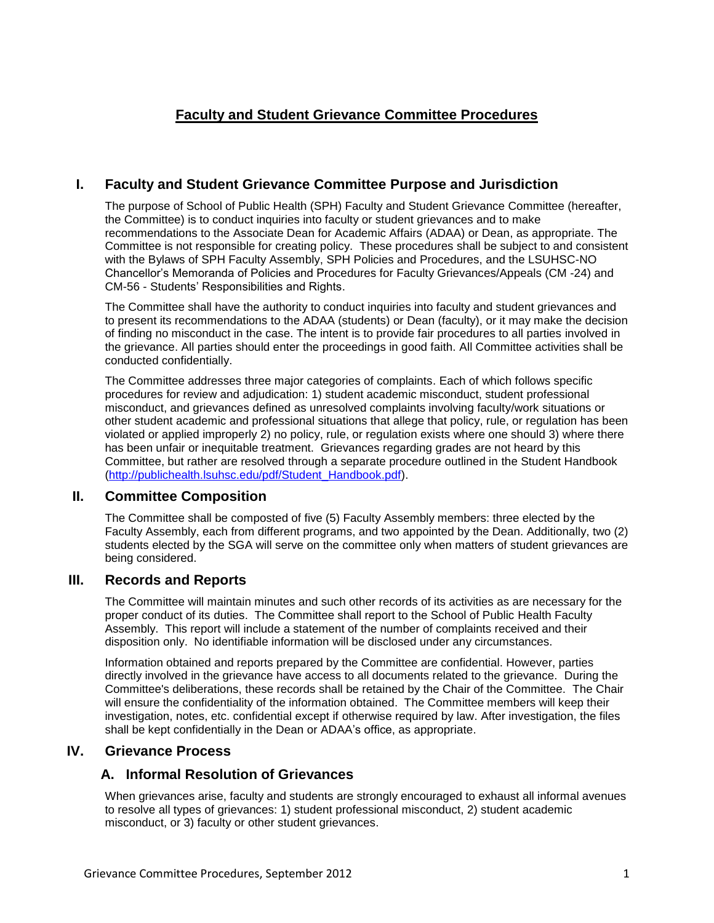# **Faculty and Student Grievance Committee Procedures**

## **I. Faculty and Student Grievance Committee Purpose and Jurisdiction**

The purpose of School of Public Health (SPH) Faculty and Student Grievance Committee (hereafter, the Committee) is to conduct inquiries into faculty or student grievances and to make recommendations to the Associate Dean for Academic Affairs (ADAA) or Dean, as appropriate. The Committee is not responsible for creating policy. These procedures shall be subject to and consistent with the Bylaws of SPH Faculty Assembly, SPH Policies and Procedures, and the LSUHSC-NO Chancellor's Memoranda of Policies and Procedures for Faculty Grievances/Appeals (CM -24) and CM-56 - Students' Responsibilities and Rights.

The Committee shall have the authority to conduct inquiries into faculty and student grievances and to present its recommendations to the ADAA (students) or Dean (faculty), or it may make the decision of finding no misconduct in the case. The intent is to provide fair procedures to all parties involved in the grievance. All parties should enter the proceedings in good faith. All Committee activities shall be conducted confidentially.

The Committee addresses three major categories of complaints. Each of which follows specific procedures for review and adjudication: 1) student academic misconduct, student professional misconduct, and grievances defined as unresolved complaints involving faculty/work situations or other student academic and professional situations that allege that policy, rule, or regulation has been violated or applied improperly 2) no policy, rule, or regulation exists where one should 3) where there has been unfair or inequitable treatment. Grievances regarding grades are not heard by this Committee, but rather are resolved through a separate procedure outlined in the Student Handbook [\(http://publichealth.lsuhsc.edu/pdf/Student\\_Handbook.pdf\)](http://publichealth.lsuhsc.edu/pdf/Student_Handbook.pdf).

#### **II. Committee Composition**

The Committee shall be composted of five (5) Faculty Assembly members: three elected by the Faculty Assembly, each from different programs, and two appointed by the Dean. Additionally, two (2) students elected by the SGA will serve on the committee only when matters of student grievances are being considered.

#### **III. Records and Reports**

The Committee will maintain minutes and such other records of its activities as are necessary for the proper conduct of its duties. The Committee shall report to the School of Public Health Faculty Assembly. This report will include a statement of the number of complaints received and their disposition only. No identifiable information will be disclosed under any circumstances.

Information obtained and reports prepared by the Committee are confidential. However, parties directly involved in the grievance have access to all documents related to the grievance. During the Committee's deliberations, these records shall be retained by the Chair of the Committee. The Chair will ensure the confidentiality of the information obtained. The Committee members will keep their investigation, notes, etc. confidential except if otherwise required by law. After investigation, the files shall be kept confidentially in the Dean or ADAA's office, as appropriate.

### **IV. Grievance Process**

### **A. Informal Resolution of Grievances**

When grievances arise, faculty and students are strongly encouraged to exhaust all informal avenues to resolve all types of grievances: 1) student professional misconduct, 2) student academic misconduct, or 3) faculty or other student grievances.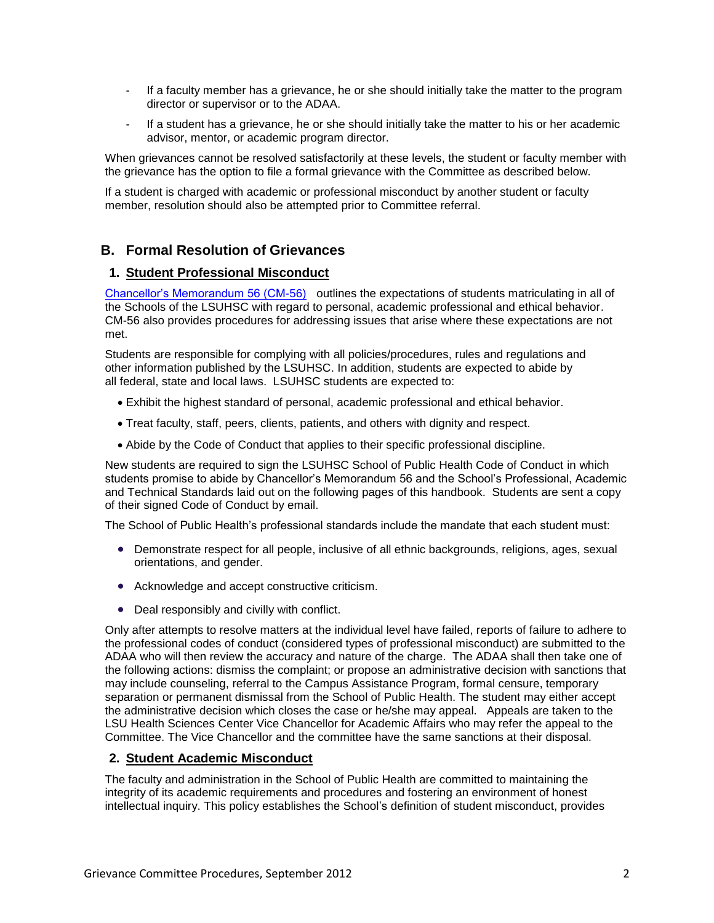- If a faculty member has a grievance, he or she should initially take the matter to the program director or supervisor or to the ADAA.
- If a student has a grievance, he or she should initially take the matter to his or her academic advisor, mentor, or academic program director.

When grievances cannot be resolved satisfactorily at these levels, the student or faculty member with the grievance has the option to file a formal grievance with the Committee as described below.

If a student is charged with academic or professional misconduct by another student or faculty member, resolution should also be attempted prior to Committee referral.

## **B. Formal Resolution of Grievances**

#### **1. Student Professional Misconduct**

[Chancellor's Memorandum 56 \(CM-56\)](http://www.lsuhsc.edu/administration/cm/cm-56.pdf) outlines the expectations of students matriculating in all of the Schools of the LSUHSC with regard to personal, academic professional and ethical behavior. CM-56 also provides procedures for addressing issues that arise where these expectations are not met.

Students are responsible for complying with all policies/procedures, rules and regulations and other information published by the LSUHSC. In addition, students are expected to abide by all federal, state and local laws. LSUHSC students are expected to:

- Exhibit the highest standard of personal, academic professional and ethical behavior.
- Treat faculty, staff, peers, clients, patients, and others with dignity and respect.
- Abide by the Code of Conduct that applies to their specific professional discipline.

New students are required to sign the LSUHSC School of Public Health Code of Conduct in which students promise to abide by Chancellor's Memorandum 56 and the School's Professional, Academic and Technical Standards laid out on the following pages of this handbook. Students are sent a copy of their signed Code of Conduct by email.

The School of Public Health's professional standards include the mandate that each student must:

- Demonstrate respect for all people, inclusive of all ethnic backgrounds, religions, ages, sexual orientations, and gender.
- Acknowledge and accept constructive criticism.
- Deal responsibly and civilly with conflict.

Only after attempts to resolve matters at the individual level have failed, reports of failure to adhere to the professional codes of conduct (considered types of professional misconduct) are submitted to the ADAA who will then review the accuracy and nature of the charge. The ADAA shall then take one of the following actions: dismiss the complaint; or propose an administrative decision with sanctions that may include counseling, referral to the Campus Assistance Program, formal censure, temporary separation or permanent dismissal from the School of Public Health. The student may either accept the administrative decision which closes the case or he/she may appeal. Appeals are taken to the LSU Health Sciences Center Vice Chancellor for Academic Affairs who may refer the appeal to the Committee. The Vice Chancellor and the committee have the same sanctions at their disposal.

#### **2. Student Academic Misconduct**

The faculty and administration in the School of Public Health are committed to maintaining the integrity of its academic requirements and procedures and fostering an environment of honest intellectual inquiry. This policy establishes the School's definition of student misconduct, provides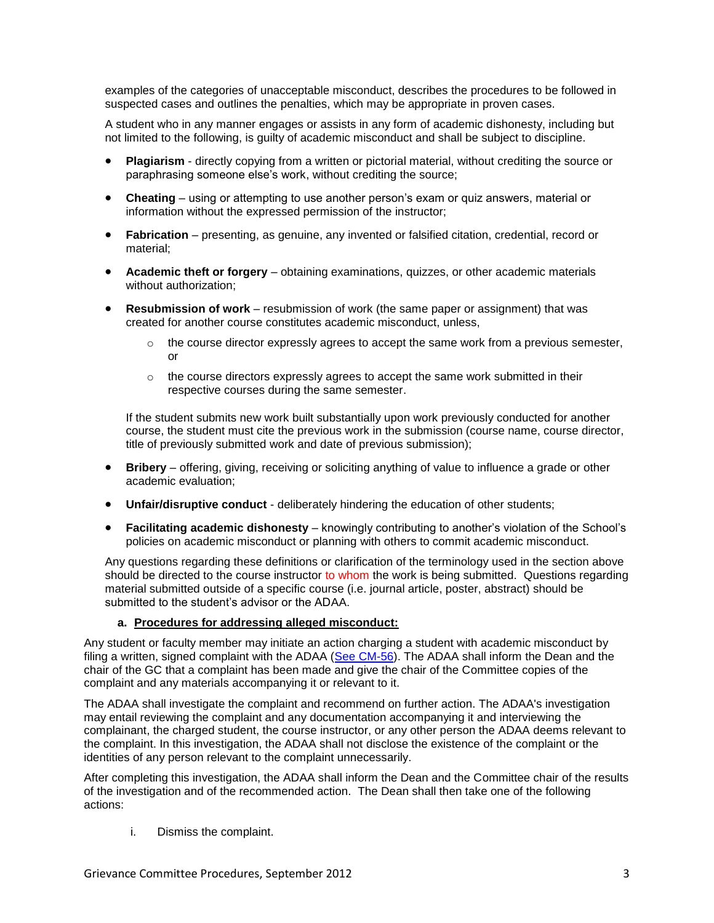examples of the categories of unacceptable misconduct, describes the procedures to be followed in suspected cases and outlines the penalties, which may be appropriate in proven cases.

A student who in any manner engages or assists in any form of academic dishonesty, including but not limited to the following, is guilty of academic misconduct and shall be subject to discipline.

- **Plagiarism** directly copying from a written or pictorial material, without crediting the source or paraphrasing someone else's work, without crediting the source;
- **Cheating**  using or attempting to use another person's exam or quiz answers, material or information without the expressed permission of the instructor;
- **Fabrication** presenting, as genuine, any invented or falsified citation, credential, record or material;
- **Academic theft or forgery** obtaining examinations, quizzes, or other academic materials without authorization;
- **Resubmission of work** resubmission of work (the same paper or assignment) that was created for another course constitutes academic misconduct, unless,
	- $\circ$  the course director expressly agrees to accept the same work from a previous semester, or
	- $\circ$  the course directors expressly agrees to accept the same work submitted in their respective courses during the same semester.

If the student submits new work built substantially upon work previously conducted for another course, the student must cite the previous work in the submission (course name, course director, title of previously submitted work and date of previous submission);

- **Bribery** offering, giving, receiving or soliciting anything of value to influence a grade or other academic evaluation;
- **Unfair/disruptive conduct** deliberately hindering the education of other students;
- **Facilitating academic dishonesty** knowingly contributing to another's violation of the School's policies on academic misconduct or planning with others to commit academic misconduct.

Any questions regarding these definitions or clarification of the terminology used in the section above should be directed to the course instructor to whom the work is being submitted. Questions regarding material submitted outside of a specific course (i.e. journal article, poster, abstract) should be submitted to the student's advisor or the ADAA.

#### **a. Procedures for addressing alleged misconduct:**

Any student or faculty member may initiate an action charging a student with academic misconduct by filing a written, signed complaint with the ADAA [\(See CM-56\)](http://www.lsuhsc.edu/administration/cm/cm-56.pdf). The ADAA shall inform the Dean and the chair of the GC that a complaint has been made and give the chair of the Committee copies of the complaint and any materials accompanying it or relevant to it.

The ADAA shall investigate the complaint and recommend on further action. The ADAA's investigation may entail reviewing the complaint and any documentation accompanying it and interviewing the complainant, the charged student, the course instructor, or any other person the ADAA deems relevant to the complaint. In this investigation, the ADAA shall not disclose the existence of the complaint or the identities of any person relevant to the complaint unnecessarily.

After completing this investigation, the ADAA shall inform the Dean and the Committee chair of the results of the investigation and of the recommended action. The Dean shall then take one of the following actions:

i. Dismiss the complaint.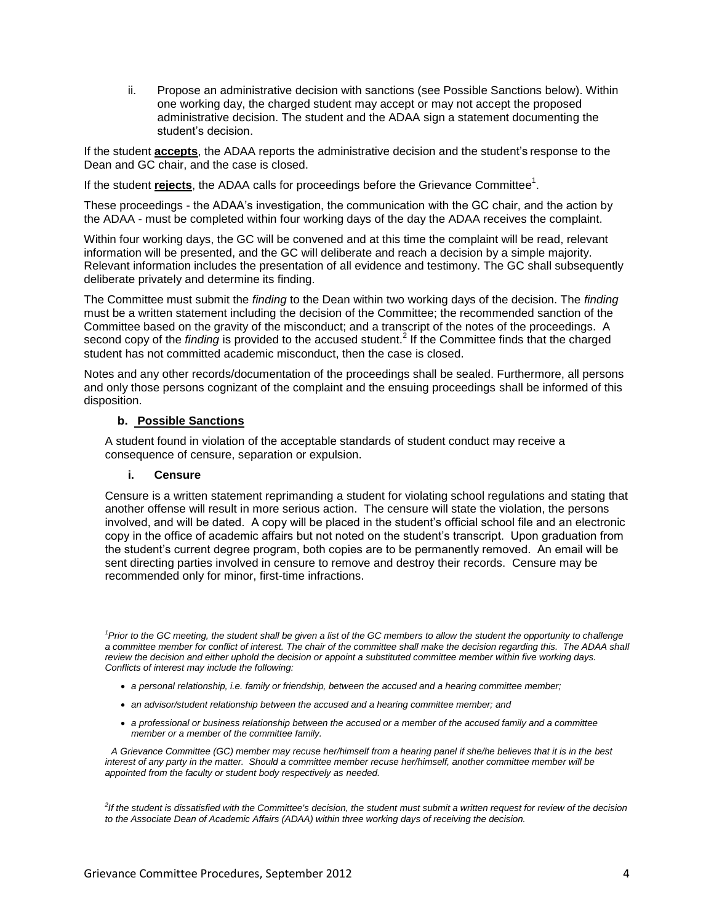ii. Propose an administrative decision with sanctions (see Possible Sanctions below). Within one working day, the charged student may accept or may not accept the proposed administrative decision. The student and the ADAA sign a statement documenting the student's decision.

If the student **accepts**, the ADAA reports the administrative decision and the student's response to the Dean and GC chair, and the case is closed.

If the student **rejects**, the ADAA calls for proceedings before the Grievance Committee<sup>1</sup>.

These proceedings - the ADAA's investigation, the communication with the GC chair, and the action by the ADAA - must be completed within four working days of the day the ADAA receives the complaint.

Within four working days, the GC will be convened and at this time the complaint will be read, relevant information will be presented, and the GC will deliberate and reach a decision by a simple majority. Relevant information includes the presentation of all evidence and testimony. The GC shall subsequently deliberate privately and determine its finding.

The Committee must submit the *finding* to the Dean within two working days of the decision. The *finding* must be a written statement including the decision of the Committee; the recommended sanction of the Committee based on the gravity of the misconduct; and a transcript of the notes of the proceedings. A second copy of the *finding* is provided to the accused student.<sup>2</sup> If the Committee finds that the charged student has not committed academic misconduct, then the case is closed.

Notes and any other records/documentation of the proceedings shall be sealed. Furthermore, all persons and only those persons cognizant of the complaint and the ensuing proceedings shall be informed of this disposition.

#### **b. Possible Sanctions**

A student found in violation of the acceptable standards of student conduct may receive a consequence of censure, separation or expulsion.

#### **i. Censure**

Censure is a written statement reprimanding a student for violating school regulations and stating that another offense will result in more serious action. The censure will state the violation, the persons involved, and will be dated. A copy will be placed in the student's official school file and an electronic copy in the office of academic affairs but not noted on the student's transcript. Upon graduation from the student's current degree program, both copies are to be permanently removed. An email will be sent directing parties involved in censure to remove and destroy their records. Censure may be recommended only for minor, first-time infractions.

<sup>1</sup>*Prior to the GC meeting, the student shall be given a list of the GC members to allow the student the opportunity to challenge* a committee member for conflict of interest. The chair of the committee shall make the decision regarding this. The ADAA shall *review the decision and either uphold the decision or appoint a substituted committee member within five working days. Conflicts of interest may include the following:*

- *a personal relationship, i.e. family or friendship, between the accused and a hearing committee member;*
- *an advisor/student relationship between the accused and a hearing committee member; and*
- *a professional or business relationship between the accused or a member of the accused family and a committee member or a member of the committee family.*

 *A Grievance Committee (GC) member may recuse her/himself from a hearing panel if she/he believes that it is in the best interest of any party in the matter. Should a committee member recuse her/himself, another committee member will be appointed from the faculty or student body respectively as needed.*

*2 If the student is dissatisfied with the Committee's decision, the student must submit a written request for review of the decision to the Associate Dean of Academic Affairs (ADAA) within three working days of receiving the decision.*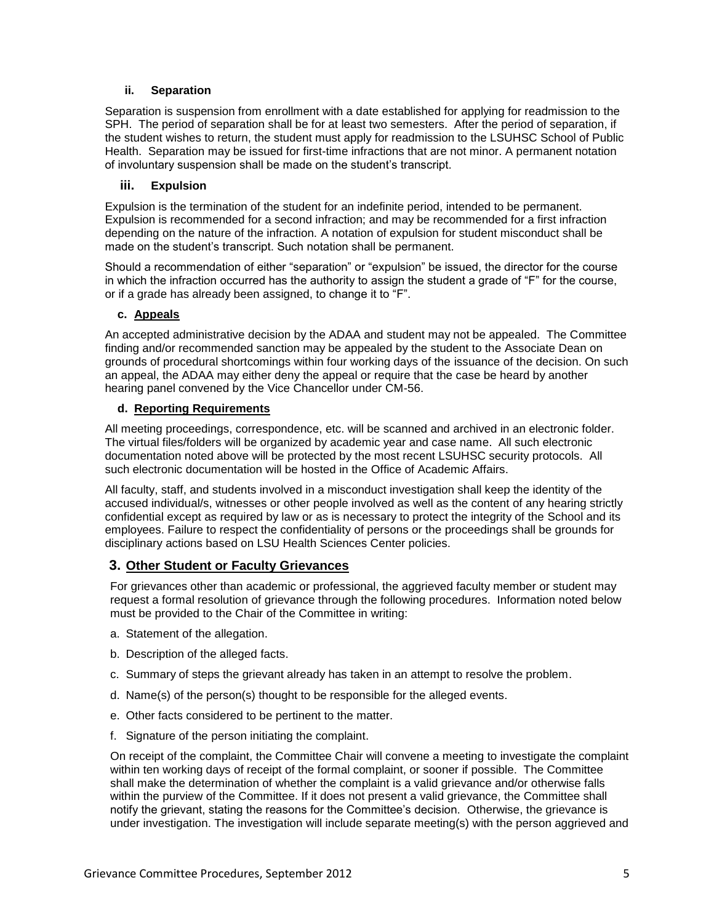#### **ii. Separation**

Separation is suspension from enrollment with a date established for applying for readmission to the SPH. The period of separation shall be for at least two semesters. After the period of separation, if the student wishes to return, the student must apply for readmission to the LSUHSC School of Public Health. Separation may be issued for first-time infractions that are not minor. A permanent notation of involuntary suspension shall be made on the student's transcript.

#### **iii. Expulsion**

Expulsion is the termination of the student for an indefinite period, intended to be permanent. Expulsion is recommended for a second infraction; and may be recommended for a first infraction depending on the nature of the infraction. A notation of expulsion for student misconduct shall be made on the student's transcript. Such notation shall be permanent.

Should a recommendation of either "separation" or "expulsion" be issued, the director for the course in which the infraction occurred has the authority to assign the student a grade of "F" for the course, or if a grade has already been assigned, to change it to "F".

#### **c. Appeals**

An accepted administrative decision by the ADAA and student may not be appealed. The Committee finding and/or recommended sanction may be appealed by the student to the Associate Dean on grounds of procedural shortcomings within four working days of the issuance of the decision. On such an appeal, the ADAA may either deny the appeal or require that the case be heard by another hearing panel convened by the Vice Chancellor under CM-56.

#### **d. Reporting Requirements**

All meeting proceedings, correspondence, etc. will be scanned and archived in an electronic folder. The virtual files/folders will be organized by academic year and case name. All such electronic documentation noted above will be protected by the most recent LSUHSC security protocols. All such electronic documentation will be hosted in the Office of Academic Affairs.

All faculty, staff, and students involved in a misconduct investigation shall keep the identity of the accused individual/s, witnesses or other people involved as well as the content of any hearing strictly confidential except as required by law or as is necessary to protect the integrity of the School and its employees. Failure to respect the confidentiality of persons or the proceedings shall be grounds for disciplinary actions based on LSU Health Sciences Center policies.

### **3. Other Student or Faculty Grievances**

For grievances other than academic or professional, the aggrieved faculty member or student may request a formal resolution of grievance through the following procedures. Information noted below must be provided to the Chair of the Committee in writing:

- a. Statement of the allegation.
- b. Description of the alleged facts.
- c. Summary of steps the grievant already has taken in an attempt to resolve the problem.
- d. Name(s) of the person(s) thought to be responsible for the alleged events.
- e. Other facts considered to be pertinent to the matter.
- f. Signature of the person initiating the complaint.

On receipt of the complaint, the Committee Chair will convene a meeting to investigate the complaint within ten working days of receipt of the formal complaint, or sooner if possible. The Committee shall make the determination of whether the complaint is a valid grievance and/or otherwise falls within the purview of the Committee. If it does not present a valid grievance, the Committee shall notify the grievant, stating the reasons for the Committee's decision. Otherwise, the grievance is under investigation. The investigation will include separate meeting(s) with the person aggrieved and